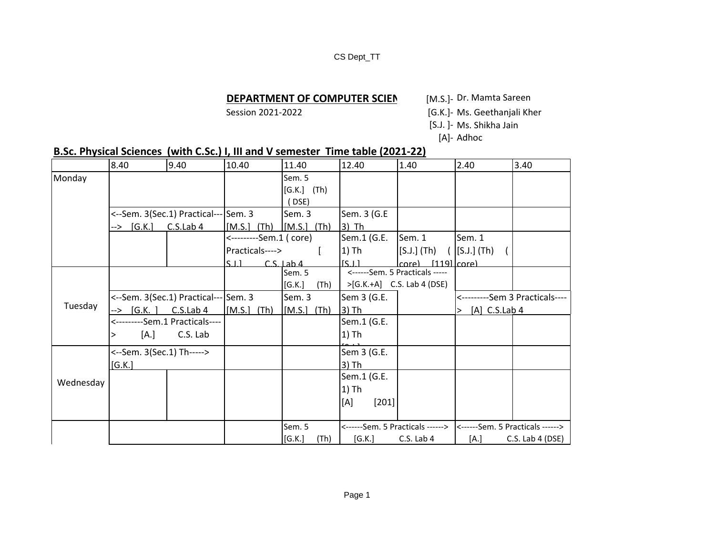#### CS Dept\_TT

## **DEPARTMENT OF COMPUTER SCIEN** [M.S.]- Dr. Mamta Sareen

Session 2021-2022 **Session 2021-2022** [G.K.]- Ms. Geethanjali Kher

- [S.J. ]- Ms. Shikha Jain
	- [A]- Adhoc

# **B.Sc. Physical Sciences (with C.Sc.) I, III and V semester Time table (2021-22)**

|           | 8.40                           | 9.40                                 | 10.40                   | 11.40           | 12.40            | 1.40                                                              | 2.40                            | 3.40               |
|-----------|--------------------------------|--------------------------------------|-------------------------|-----------------|------------------|-------------------------------------------------------------------|---------------------------------|--------------------|
| Monday    |                                |                                      |                         | Sem. 5          |                  |                                                                   |                                 |                    |
|           |                                |                                      |                         | $[G.K.]$ (Th)   |                  |                                                                   |                                 |                    |
|           |                                |                                      |                         | DSE)            |                  |                                                                   |                                 |                    |
|           |                                | <--Sem. 3(Sec.1) Practical--- Sem. 3 |                         | Sem. 3          | Sem. 3 (G.E      |                                                                   |                                 |                    |
|           | --> [G.K.] C.S.Lab 4           |                                      | $[M.S.]$ $(Th)$         | $[M.S.]$ $(Th)$ | $3)$ Th          |                                                                   |                                 |                    |
|           |                                |                                      | <---------Sem.1 ( core) |                 | Sem.1 (G.E.      | Sem. 1                                                            | Sem. 1                          |                    |
|           |                                |                                      | Practicals---->         |                 | 1) Th            | $[S.J.]$ (Th)                                                     | $[S.J.]$ (Th)                   |                    |
|           |                                |                                      | S11                     | $CS$ lab 4      | S <sub>1</sub> 1 | $ core\rangle$ [119] $ core\rangle$                               |                                 |                    |
|           |                                |                                      |                         | Sem. 5          |                  | <------Sem. 5 Practicals -----                                    |                                 |                    |
|           |                                |                                      |                         | [G.K.]<br>(Th)  |                  | >[G.K.+A] C.S. Lab 4 (DSE)                                        |                                 |                    |
|           |                                | <--Sem. 3(Sec.1) Practical--- Sem. 3 |                         | Sem. 3          | Sem 3 (G.E.      |                                                                   | <----------Sem 3 Practicals---- |                    |
| Tuesday   | $\leftarrow$ [G.K. ] C.S.Lab 4 |                                      | $[M.S.]$ $(Th)$         | $[M.S.]$ $(Th)$ | $3)$ Th          |                                                                   | $>$ [A] C.S.Lab 4               |                    |
|           |                                | <---------Sem.1 Practicals----       |                         |                 | Sem.1 (G.E.      |                                                                   |                                 |                    |
|           | [A.]                           | C.S. Lab                             |                         |                 | $1)$ Th          |                                                                   |                                 |                    |
|           | <--Sem. 3(Sec.1) Th----->      |                                      |                         |                 | Sem 3 (G.E.      |                                                                   |                                 |                    |
| Wednesday | [G.K.]                         |                                      |                         |                 | $3)$ Th          |                                                                   |                                 |                    |
|           |                                |                                      |                         |                 | Sem.1 (G.E.      |                                                                   |                                 |                    |
|           |                                |                                      |                         |                 | 1) Th            |                                                                   |                                 |                    |
|           |                                |                                      |                         |                 | [A]<br>[201]     |                                                                   |                                 |                    |
|           |                                |                                      |                         |                 |                  |                                                                   |                                 |                    |
|           |                                |                                      |                         | Sem. 5          |                  | <------Sem. 5 Practicals ------> <------Sem. 5 Practicals ------> |                                 |                    |
|           |                                |                                      |                         | [G.K.]<br>(Th)  | [G.K.]           | C.S. Lab 4                                                        | [A.]                            | $C.S.$ Lab 4 (DSE) |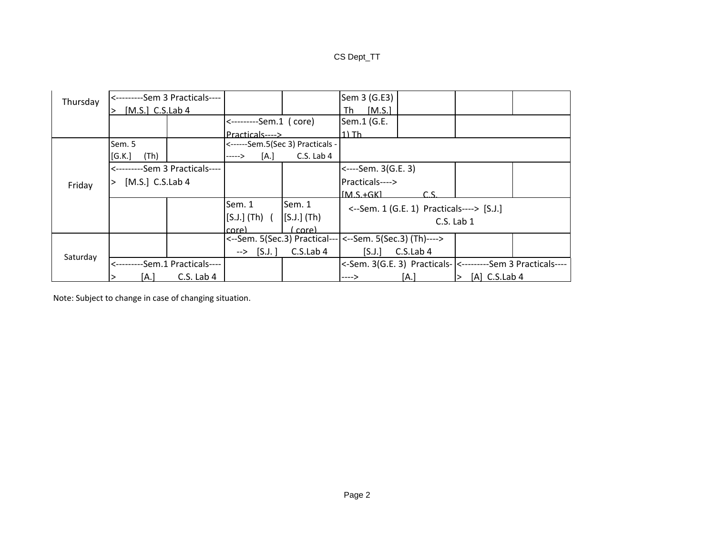## CS Dept\_TT

| Thursday | <---------Sem 3 Practicals----  |            |                        |                                                            | Sem 3 (G.E3)                              |           |                 |  |
|----------|---------------------------------|------------|------------------------|------------------------------------------------------------|-------------------------------------------|-----------|-----------------|--|
|          | $[M.S.]$ C.S.Lab 4              |            |                        |                                                            | [M.S.]<br>Th                              |           |                 |  |
|          |                                 |            | <---------Sem.1 (core) |                                                            | Sem.1 (G.E.                               |           |                 |  |
|          |                                 |            | Practicals---->        |                                                            | $1)$ Th                                   |           |                 |  |
|          | Sem. 5                          |            |                        | <------Sem.5(Sec 3) Practicals -                           |                                           |           |                 |  |
| Friday   | (Th)<br>[G.K.]                  |            | [A.]<br>----->         | C.S. Lab 4                                                 |                                           |           |                 |  |
|          | <---------Sem 3 Practicals----  |            |                        |                                                            | <----Sem. 3(G.E. 3)                       |           |                 |  |
|          | [M.S.] $C.S.Lab 4$              |            |                        |                                                            | Practicals---->                           |           |                 |  |
|          |                                 |            |                        |                                                            | $IMS + GKI$                               |           |                 |  |
|          |                                 |            | Sem. 1                 | Sem. 1                                                     | <--Sem. 1 (G.E. 1) Practicals----> [S.J.] |           |                 |  |
|          |                                 |            | [S.J.] (Th) (          | $[$ S.J. $]$ $(Th)$                                        |                                           |           | $C.S.$ Lab $1$  |  |
|          |                                 |            | core)                  | core)                                                      |                                           |           |                 |  |
|          |                                 |            |                        | <--Sem. 5(Sec.3) Practical---   <--Sem. 5(Sec.3) (Th)----> |                                           |           |                 |  |
|          |                                 |            | $\rightarrow$ [S.J.]   | C.S.Lab 4                                                  | [S,J.]                                    | C.S.Lab 4 |                 |  |
| Saturday | <----------Sem.1 Practicals---- |            |                        |                                                            |                                           |           |                 |  |
|          | [A.I                            | C.S. Lab 4 |                        |                                                            | ---->                                     | [A.I      | $[A]$ C.S.Lab 4 |  |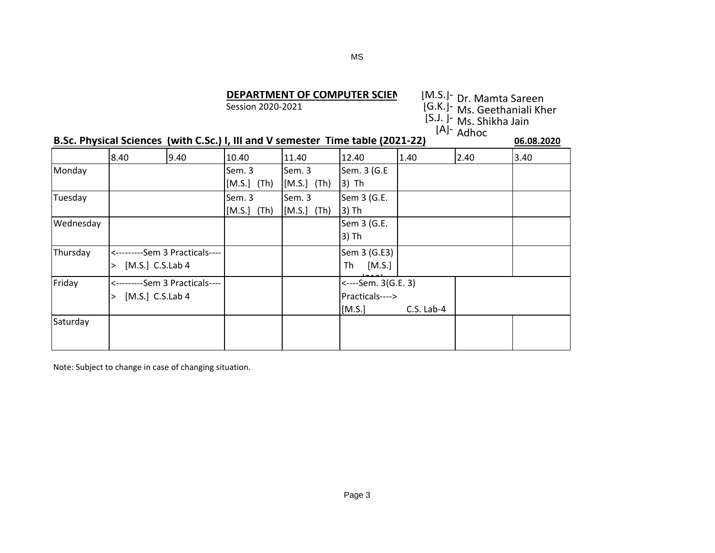#### MS

# **DEPARTMENT OF COMPUTER SCIEN**<br>Session 2020-2021

| DEPARTMENT OF COMPUTER SCIEN                                                    | [M.S.]- <sub>Dr.</sub> Mamta Sareen       |
|---------------------------------------------------------------------------------|-------------------------------------------|
| Session 2020-2021                                                               | [G.K.]- Ms. Geethaniali Kher              |
|                                                                                 | [S.J. ]- Ms. Shikha Jain<br>$[A]$ - Adhoc |
| B.Sc. Physical Sciences (with C.Sc.) I, III and V semester Time table (2021-22) | 06.08.2020                                |

|           | 8.40 | 9.40                           | 10.40         | 11.40            | 12.40               | 1.40         | 2.40 | 3.40 |
|-----------|------|--------------------------------|---------------|------------------|---------------------|--------------|------|------|
| Monday    |      |                                | Sem. 3        | Sem. 3           | Sem. 3 (G.E         |              |      |      |
|           |      |                                | $[M.S.]$ (Th) | $[M.S.]$ (Th)    | $3)$ Th             |              |      |      |
| Tuesday   |      |                                | Sem. 3        | Sem. 3           | Sem 3 (G.E.         |              |      |      |
|           |      |                                | $[M.S.]$ (Th) | $[MA.S.]$ $(Th)$ | $3)$ Th             |              |      |      |
| Wednesday |      |                                |               |                  | Sem 3 (G.E.         |              |      |      |
|           |      |                                |               |                  | 3) Th               |              |      |      |
| Thursday  |      | <---------Sem 3 Practicals---- |               |                  | Sem 3 (G.E3)        |              |      |      |
|           | >    | $[M.S.]$ C.S.Lab 4             |               |                  | Th<br>[M.S.]        |              |      |      |
| Friday    |      | <---------Sem 3 Practicals---- |               |                  | <----Sem. 3(G.E. 3) |              |      |      |
|           | >    | $[M.S.]$ C.S.Lab 4             |               |                  | Practicals---->     |              |      |      |
|           |      |                                |               |                  | [M.S.]              | $C.S.$ Lab-4 |      |      |
| Saturday  |      |                                |               |                  |                     |              |      |      |
|           |      |                                |               |                  |                     |              |      |      |
|           |      |                                |               |                  |                     |              |      |      |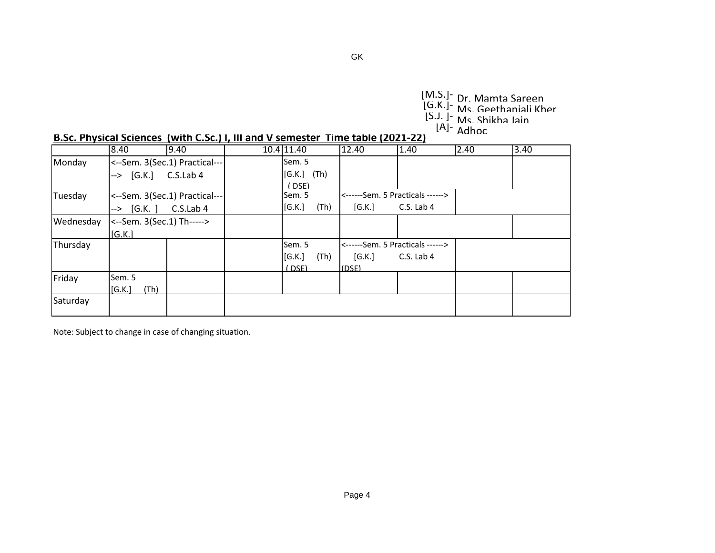[M.S.]<sup>-</sup> Dr. Mamta Sareen<br>[G.K.]- Ms. Geethaniali Kher<br>[S.J. ]- Ms. Shikha Iain [A]- Adhoc

|  |  |  | B.Sc. Physical Sciences (with C.Sc.) I, III and V semester Time table (2021-22) |
|--|--|--|---------------------------------------------------------------------------------|
|--|--|--|---------------------------------------------------------------------------------|

|           | 8.40                      | 9.40                          | 10.4 11.40    |      | 12.40  | 1.40                             | 2.40 | 3.40 |
|-----------|---------------------------|-------------------------------|---------------|------|--------|----------------------------------|------|------|
| Monday    |                           | <--Sem. 3(Sec.1) Practical--- | Sem. 5        |      |        |                                  |      |      |
|           | $-$ > [G.K.] C.S.Lab 4    |                               | $[G.K.]$ (Th) |      |        |                                  |      |      |
|           |                           |                               | (DSE)         |      |        |                                  |      |      |
| Tuesday   |                           | <--Sem. 3(Sec.1) Practical--- | Sem. 5        |      |        | <------Sem. 5 Practicals ------> |      |      |
|           | $-$ > $[G.K. ]$ C.S.Lab 4 |                               | [G.K.]        | (Th) | [G.K.] | C.S. Lab 4                       |      |      |
| Wednesday | <--Sem. 3(Sec.1) Th-----> |                               |               |      |        |                                  |      |      |
|           | [G.K.]                    |                               |               |      |        |                                  |      |      |
| Thursday  |                           |                               | Sem. 5        |      |        | <------Sem. 5 Practicals ------> |      |      |
|           |                           |                               | [G.K.]        | (Th) | [G.K.] | C.S. Lab 4                       |      |      |
|           |                           |                               | (DSF)         |      | (DSF)  |                                  |      |      |
| Friday    | Sem. 5                    |                               |               |      |        |                                  |      |      |
|           | [G.K.]<br>(Th)            |                               |               |      |        |                                  |      |      |
| Saturday  |                           |                               |               |      |        |                                  |      |      |
|           |                           |                               |               |      |        |                                  |      |      |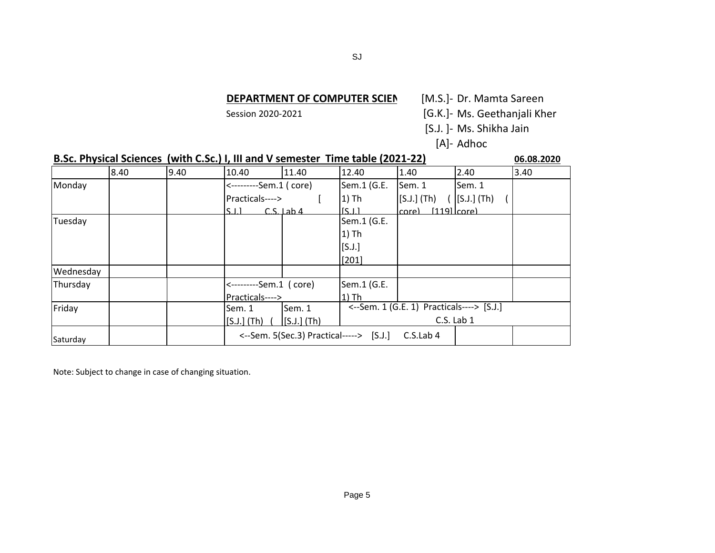# **DEPARTMENT OF COMPUTER SCIEN** [M.S.]- Dr. Mamta Sareen

Session 2020-2021 [G.K.]- Ms. Geethanjali Kher

[S.J. ]- Ms. Shikha Jain

[A]- Adhoc

|           |      |      | B.Sc. Physical Sciences (with C.Sc.) I, III and V semester Time table (2021-22) |                |                                                      |               |                 |      |  |  |
|-----------|------|------|---------------------------------------------------------------------------------|----------------|------------------------------------------------------|---------------|-----------------|------|--|--|
|           | 8.40 | 9.40 | 10.40                                                                           | 11.40          | 12.40                                                | 1.40          | 2.40            | 3.40 |  |  |
| Monday    |      |      | <---------Sem.1 ( core)                                                         |                | Sem.1 (G.E.                                          | Sem. 1        | Sem. 1          |      |  |  |
|           |      |      | Practicals---->                                                                 |                | $1)$ Th                                              | $[S.J.]$ (Th) | $[S.J.]$ (Th)   |      |  |  |
|           |      |      | $\sim$ 1 1                                                                      | $CS$ lab 4     | IS LI                                                | core)         | $[119]$ $core)$ |      |  |  |
| Tuesday   |      |      |                                                                                 |                | Sem.1 (G.E.                                          |               |                 |      |  |  |
|           |      |      |                                                                                 |                | 1) Th                                                |               |                 |      |  |  |
|           |      |      |                                                                                 |                | [S.J.]                                               |               |                 |      |  |  |
|           |      |      |                                                                                 |                | $[201]$                                              |               |                 |      |  |  |
| Wednesday |      |      |                                                                                 |                |                                                      |               |                 |      |  |  |
| Thursday  |      |      | <---------Sem.1 (core)                                                          |                | Sem.1 (G.E.                                          |               |                 |      |  |  |
|           |      |      | Practicals---->                                                                 |                | $1)$ Th                                              |               |                 |      |  |  |
| Friday    |      |      | Sem. 1                                                                          | Sem. 1         | <--Sem. 1 (G.E. 1) Practicals----> [S.J.]            |               |                 |      |  |  |
|           |      |      | $[S.J.]$ (Th)                                                                   | $[$ [S.J.](Th) | C.S. Lab 1                                           |               |                 |      |  |  |
| Saturday  |      |      |                                                                                 |                | <--Sem. 5(Sec.3) Practical-----> [S.J.]<br>C.S.Lab 4 |               |                 |      |  |  |